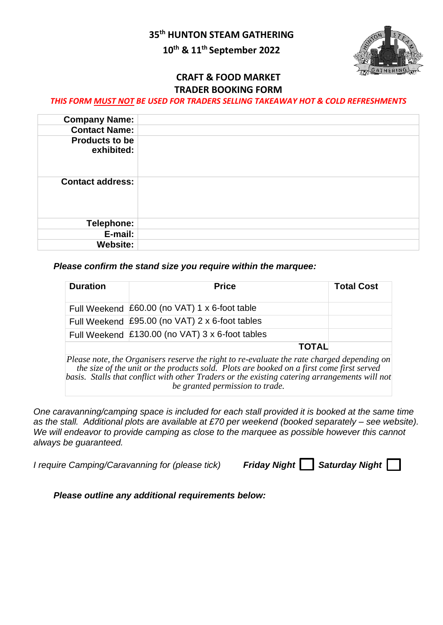**35th HUNTON STEAM GATHERING**

# **10 th & 11 th September 2022**



### **CRAFT & FOOD MARKET TRADER BOOKING FORM**

#### *THIS FORM MUST NOT BE USED FOR TRADERS SELLING TAKEAWAY HOT & COLD REFRESHMENTS*

| <b>Company Name:</b>                |  |
|-------------------------------------|--|
| <b>Contact Name:</b>                |  |
| <b>Products to be</b><br>exhibited: |  |
| <b>Contact address:</b>             |  |
| Telephone:                          |  |
| E-mail:                             |  |
| <b>Website:</b>                     |  |

#### *Please confirm the stand size you require within the marquee:*

| <b>Duration</b> | <b>Price</b>                                    | <b>Total Cost</b> |
|-----------------|-------------------------------------------------|-------------------|
|                 | Full Weekend £60.00 (no VAT) 1 x 6-foot table   |                   |
|                 | Full Weekend £95.00 (no VAT) 2 x 6-foot tables  |                   |
|                 | Full Weekend £130.00 (no VAT) 3 x 6-foot tables |                   |
|                 | <b>TOTAL</b>                                    |                   |

*Please note, the Organisers reserve the right to re-evaluate the rate charged depending on the size of the unit or the products sold. Plots are booked on a first come first served basis. Stalls that conflict with other Traders or the existing catering arrangements will not be granted permission to trade.* 

*One caravanning/camping space is included for each stall provided it is booked at the same time as the stall. Additional plots are available at £70 per weekend (booked separately – see website). We will endeavor to provide camping as close to the marquee as possible however this cannot always be guaranteed.*

*I require Camping/Caravanning for (please tick)* 

| Friday Night  <br><b>Saturday Night</b> |  |
|-----------------------------------------|--|

*Please outline any additional requirements below:*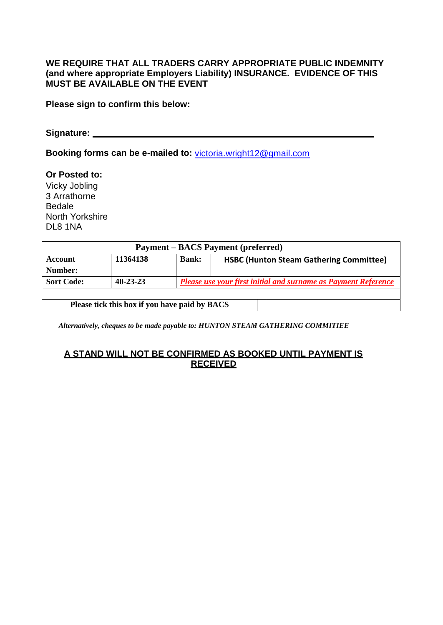### **WE REQUIRE THAT ALL TRADERS CARRY APPROPRIATE PUBLIC INDEMNITY (and where appropriate Employers Liability) INSURANCE. EVIDENCE OF THIS MUST BE AVAILABLE ON THE EVENT**

**Please sign to confirm this below:**

**Signature:** 

**Booking forms can be e-mailed to:** [victoria.wright12@gmail.com](mailto:victoria.wright12@gmail.com)

**Or Posted to:**  Vicky Jobling 3 Arrathorne Bedale North Yorkshire DL8 1NA

| <b>Payment – BACS Payment (preferred)</b>     |                |                                                                |                                                |  |  |  |
|-----------------------------------------------|----------------|----------------------------------------------------------------|------------------------------------------------|--|--|--|
| Account                                       | 11364138       | <b>Bank:</b>                                                   | <b>HSBC (Hunton Steam Gathering Committee)</b> |  |  |  |
| Number:                                       |                |                                                                |                                                |  |  |  |
| <b>Sort Code:</b>                             | $40 - 23 - 23$ | Please use your first initial and surname as Payment Reference |                                                |  |  |  |
|                                               |                |                                                                |                                                |  |  |  |
| Please tick this box if you have paid by BACS |                |                                                                |                                                |  |  |  |

*Alternatively, cheques to be made payable to: HUNTON STEAM GATHERING COMMITIEE*

## **A STAND WILL NOT BE CONFIRMED AS BOOKED UNTIL PAYMENT IS RECEIVED**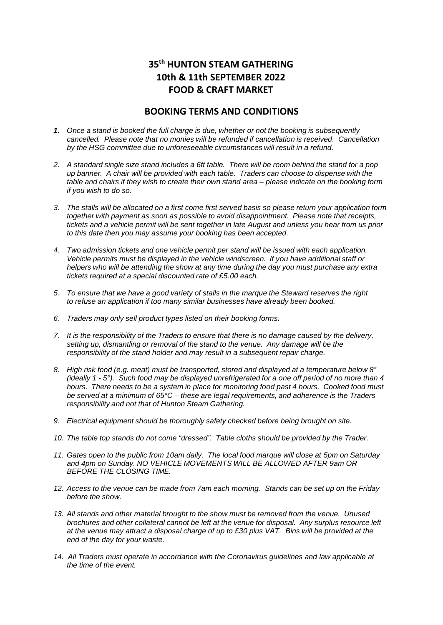## **35th HUNTON STEAM GATHERING 10th & 11th SEPTEMBER 2022 FOOD & CRAFT MARKET**

#### **BOOKING TERMS AND CONDITIONS**

- *1. Once a stand is booked the full charge is due, whether or not the booking is subsequently cancelled. Please note that no monies will be refunded if cancellation is received. Cancellation by the HSG committee due to unforeseeable circumstances will result in a refund.*
- 2. A standard single size stand includes a 6ft table. There will be room behind the stand for a pop *up banner. A chair will be provided with each table. Traders can choose to dispense with the*  table and chairs if they wish to create their own stand area - please indicate on the booking form *if you wish to do so.*
- 3. The stalls will be allocated on a first come first served basis so please return your application form *together with payment as soon as possible to avoid disappointment. Please note that receipts, tickets and a vehicle permit will be sent together in late August and unless you hear from us prior to this date then you may assume your booking has been accepted.*
- *4. Two admission tickets and one vehicle permit per stand will be issued with each application. Vehicle permits must be displayed in the vehicle windscreen. If you have additional staff or helpers who will be attending the show at any time during the day you must purchase any extra tickets required at a special discounted rate of £5.00 each.*
- *5. To ensure that we have a good variety of stalls in the marque the Steward reserves the right to refuse an application if too many similar businesses have already been booked.*
- *6. Traders may only sell product types listed on their booking forms.*
- *7. It is the responsibility of the Traders to ensure that there is no damage caused by the delivery, setting up, dismantling or removal of the stand to the venue. Any damage will be the responsibility of the stand holder and may result in a subsequent repair charge.*
- *8. High risk food (e.g. meat) must be transported, stored and displayed at a temperature below 8°*  (ideally 1 - 5°). Such food may be displayed unrefrigerated for a one off period of no more than 4 *hours. There needs to be a system in place for monitoring food past 4 hours. Cooked food must be served at a minimum of 65°C – these are legal requirements, and adherence is the Traders responsibility and not that of Hunton Steam Gathering.*
- *9. Electrical equipment should be thoroughly safety checked before being brought on site.*
- *10. The table top stands do not come "dressed". Table cloths should be provided by the Trader.*
- *11. Gates open to the public from 10am daily. The local food marque will close at 5pm on Saturday and 4pm on Sunday. NO VEHICLE MOVEMENTS WILL BE ALLOWED AFTER 9am OR BEFORE THE CLOSING TIME.*
- 12. Access to the venue can be made from 7am each morning. Stands can be set up on the Friday *before the show.*
- *13. All stands and other material brought to the show must be removed from the venue. Unused brochures and other collateral cannot be left at the venue for disposal. Any surplus resource left at the venue may attract a disposal charge of up to £30 plus VAT. Bins will be provided at the end of the day for your waste.*
- 14. All Traders must operate in accordance with the Coronavirus guidelines and law applicable at *the time of the event.*